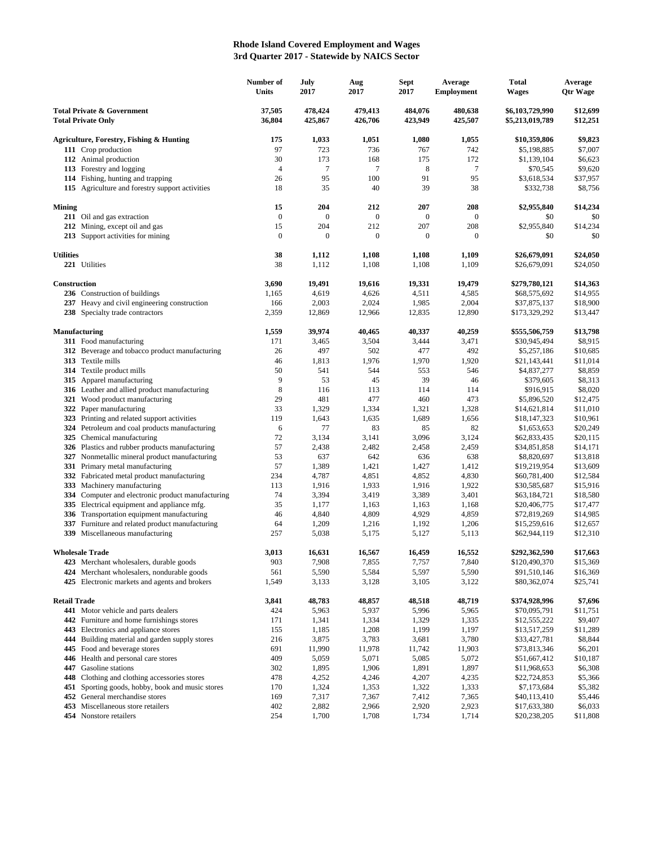## **Rhode Island Covered Employment and Wages 3rd Quarter 2017 - Statewide by NAICS Sector**

| <b>Total Private &amp; Government</b><br>37,505<br>478,424<br>479,413<br>484,076<br>480,638<br>\$12,699<br>\$6,103,729,990<br><b>Total Private Only</b><br>36,804<br>425,867<br>426,706<br>423,949<br>425,507<br>\$12,251<br>\$5,213,019,789<br>1,033<br>1,055<br>\$9,823<br>Agriculture, Forestry, Fishing & Hunting<br>175<br>1,051<br>1,080<br>\$10,359,806<br>742<br>111 Crop production<br>97<br>723<br>736<br>\$7,007<br>767<br>\$5,198,885<br>112 Animal production<br>30<br>173<br>168<br>172<br>\$6,623<br>175<br>\$1,139,104<br>$\overline{7}$<br>113 Forestry and logging<br>4<br>7<br>8<br>7<br>\$9,620<br>\$70,545<br>95<br>91<br>95<br>114 Fishing, hunting and trapping<br>26<br>100<br>\$3,618,534<br>\$37,957<br>115 Agriculture and forestry support activities<br>18<br>35<br>40<br>39<br>38<br>\$332,738<br>\$8,756<br>15<br>204<br>212<br>207<br>208<br>\$2,955,840<br>\$14,234<br><b>Mining</b><br>$\boldsymbol{0}$<br>$\boldsymbol{0}$<br>211 Oil and gas extraction<br>$\boldsymbol{0}$<br>$\mathbf{0}$<br>$\mathbf{0}$<br>\$0<br>\$0<br>15<br>212 Mining, except oil and gas<br>204<br>212<br>207<br>208<br>\$2,955,840<br>\$14,234<br>$\boldsymbol{0}$<br>$\mathbf{0}$<br>213 Support activities for mining<br>$\boldsymbol{0}$<br>$\boldsymbol{0}$<br>\$0<br>\$0<br>$\mathbf{0}$<br><b>Utilities</b><br>38<br>1,112<br>1,108<br>1,108<br>1,109<br>\$26,679,091<br>\$24,050<br>221 Utilities<br>38<br>1,112<br>1,108<br>1,108<br>1,109<br>\$24,050<br>\$26,679,091<br>Construction<br>\$14,363<br>3,690<br>19,491<br>19,616<br>19,331<br>19,479<br>\$279,780,121<br>236 Construction of buildings<br>4,619<br>4,626<br>4,511<br>\$14,955<br>1,165<br>4,585<br>\$68,575,692<br>237 Heavy and civil engineering construction<br>2,024<br>1,985<br>2,004<br>\$18,900<br>166<br>2,003<br>\$37,875,137<br>238 Specialty trade contractors<br>12,835<br>2,359<br>12,869<br>12,966<br>12,890<br>\$173,329,292<br>\$13,447<br><b>Manufacturing</b><br>1,559<br>39,974<br>40,465<br>40,337<br>40,259<br>\$13,798<br>\$555,506,759<br>311 Food manufacturing<br>3,465<br>3,504<br>3,471<br>\$8,915<br>171<br>3,444<br>\$30,945,494<br>492<br>312 Beverage and tobacco product manufacturing<br>497<br>502<br>477<br>\$10,685<br>26<br>\$5,257,186<br>313 Textile mills<br>46<br>1,813<br>1,976<br>1,970<br>1,920<br>\$11,014<br>\$21,143,441<br>314 Textile product mills<br>50<br>541<br>544<br>546<br>\$8,859<br>553<br>\$4,837,277<br>9<br>53<br>315 Apparel manufacturing<br>45<br>39<br>46<br>\$8,313<br>\$379,605<br>8<br>316 Leather and allied product manufacturing<br>116<br>114<br>114<br>\$8,020<br>113<br>\$916,915<br>481<br>477<br>473<br>321 Wood product manufacturing<br>29<br>460<br>\$12,475<br>\$5,896,520<br>322 Paper manufacturing<br>33<br>1,329<br>1,334<br>1,321<br>1,328<br>\$14,621,814<br>\$11,010<br>323 Printing and related support activities<br>119<br>1,643<br>1,635<br>1,689<br>1,656<br>\$10,961<br>\$18,147,323<br>77<br>82<br>324 Petroleum and coal products manufacturing<br>6<br>83<br>85<br>\$20,249<br>\$1,653,653<br>325 Chemical manufacturing<br>72<br>3,134<br>3,096<br>3,124<br>3,141<br>\$62,833,435<br>\$20,115<br>326 Plastics and rubber products manufacturing<br>57<br>2,438<br>2,482<br>2,459<br>2,458<br>\$34,851,858<br>\$14,171<br>327 Nonmetallic mineral product manufacturing<br>53<br>637<br>642<br>638<br>\$13,818<br>636<br>\$8,820,697<br>331 Primary metal manufacturing<br>57<br>1,389<br>1,427<br>1,412<br>\$13,609<br>1,421<br>\$19,219,954<br>332 Fabricated metal product manufacturing<br>234<br>4,787<br>4,851<br>4,852<br>4,830<br>\$60,781,400<br>\$12,584<br>333 Machinery manufacturing<br>1,933<br>1,922<br>\$15,916<br>113<br>1,916<br>1,916<br>\$30,585,687<br>334 Computer and electronic product manufacturing<br>74<br>3,419<br>3,401<br>3,394<br>3,389<br>\$63,184,721<br>\$18,580<br>Electrical equipment and appliance mfg.<br>35<br>335<br>1,177<br>1,163<br>1,163<br>1,168<br>\$20,406,775<br>\$17,477<br>336 Transportation equipment manufacturing<br>46<br>4,809<br>4,859<br>\$14,985<br>4,840<br>4,929<br>\$72,819,269<br>337<br>Furniture and related product manufacturing<br>64<br>1,206<br>1,209<br>1,216<br>1,192<br>\$15,259,616<br>\$12,657<br>339 Miscellaneous manufacturing<br>257<br>\$12,310<br>5,038<br>5,175<br>5,127<br>5,113<br>\$62,944,119<br>3,013<br>16,631<br>16,567<br>16,459<br>16,552<br>\$292,362,590<br>\$17,663<br><b>Wholesale Trade</b><br>7,840<br>423 Merchant wholesalers, durable goods<br>903<br>7,908<br>7,855<br>7,757<br>\$120,490,370<br>\$15,369<br>5,597<br>5,590<br>424 Merchant wholesalers, nondurable goods<br>561<br>5,590<br>5,584<br>\$16,369<br>\$91,510,146<br>425 Electronic markets and agents and brokers<br>3,128<br>3,105<br>3,122<br>1,549<br>3,133<br>\$80,362,074<br>\$25,741<br><b>Retail Trade</b><br>48,783<br>48,857<br>48,719<br>\$7,696<br>3,841<br>48,518<br>\$374,928,996<br>441 Motor vehicle and parts dealers<br>424<br>5,963<br>5,937<br>5,996<br>5,965<br>\$70,095,791<br>\$11,751<br>442 Furniture and home furnishings stores<br>1,334<br>1,329<br>1,335<br>\$9,407<br>171<br>1,341<br>\$12,555,222<br>443 Electronics and appliance stores<br>1,208<br>1,197<br>\$11,289<br>155<br>1,185<br>1,199<br>\$13,517,259<br>Building material and garden supply stores<br>216<br>3,875<br>3,783<br>3,681<br>3,780<br>\$8,844<br>444<br>\$33,427,781<br>445 Food and beverage stores<br>11,990<br>11,978<br>11,903<br>\$6,201<br>691<br>11,742<br>\$73,813,346<br>446 Health and personal care stores<br>409<br>5,059<br>5,071<br>5,085<br>5,072<br>\$51,667,412<br>\$10,187<br>447 Gasoline stations<br>1,906<br>1,897<br>\$6,308<br>302<br>1,895<br>1,891<br>\$11,968,653<br>448 Clothing and clothing accessories stores<br>4,246<br>4,207<br>4,235<br>\$5,366<br>478<br>4,252<br>\$22,724,853<br>451 Sporting goods, hobby, book and music stores<br>\$5,382<br>170<br>1,324<br>1,353<br>1,322<br>1,333<br>\$7,173,684<br>7,367<br>7,365<br>\$5,446<br>452 General merchandise stores<br>169<br>7,317<br>7,412<br>\$40,113,410<br>453 Miscellaneous store retailers<br>2,966<br>2,923<br>\$6,033<br>402<br>2,882<br>2,920<br>\$17,633,380<br>454 Nonstore retailers<br>254<br>1,708<br>1,714<br>\$20,238,205<br>\$11,808<br>1,700<br>1,734 | Number of<br>Units | July<br>2017 | Aug<br>2017 | Sept<br>2017 | Average<br><b>Employment</b> | Total<br>Wages | Average<br><b>Qtr Wage</b> |
|-------------------------------------------------------------------------------------------------------------------------------------------------------------------------------------------------------------------------------------------------------------------------------------------------------------------------------------------------------------------------------------------------------------------------------------------------------------------------------------------------------------------------------------------------------------------------------------------------------------------------------------------------------------------------------------------------------------------------------------------------------------------------------------------------------------------------------------------------------------------------------------------------------------------------------------------------------------------------------------------------------------------------------------------------------------------------------------------------------------------------------------------------------------------------------------------------------------------------------------------------------------------------------------------------------------------------------------------------------------------------------------------------------------------------------------------------------------------------------------------------------------------------------------------------------------------------------------------------------------------------------------------------------------------------------------------------------------------------------------------------------------------------------------------------------------------------------------------------------------------------------------------------------------------------------------------------------------------------------------------------------------------------------------------------------------------------------------------------------------------------------------------------------------------------------------------------------------------------------------------------------------------------------------------------------------------------------------------------------------------------------------------------------------------------------------------------------------------------------------------------------------------------------------------------------------------------------------------------------------------------------------------------------------------------------------------------------------------------------------------------------------------------------------------------------------------------------------------------------------------------------------------------------------------------------------------------------------------------------------------------------------------------------------------------------------------------------------------------------------------------------------------------------------------------------------------------------------------------------------------------------------------------------------------------------------------------------------------------------------------------------------------------------------------------------------------------------------------------------------------------------------------------------------------------------------------------------------------------------------------------------------------------------------------------------------------------------------------------------------------------------------------------------------------------------------------------------------------------------------------------------------------------------------------------------------------------------------------------------------------------------------------------------------------------------------------------------------------------------------------------------------------------------------------------------------------------------------------------------------------------------------------------------------------------------------------------------------------------------------------------------------------------------------------------------------------------------------------------------------------------------------------------------------------------------------------------------------------------------------------------------------------------------------------------------------------------------------------------------------------------------------------------------------------------------------------------------------------------------------------------------------------------------------------------------------------------------------------------------------------------------------------------------------------------------------------------------------------------------------------------------------------------------------------------------------------------------------------------------------------------------------------------------------------------------------------------------------------------------------------------------------------------------------------------------------------------------------------------------------------------------------------------------------------------------------------------------------------------------------------------------------------------------------------------------------------------------------------------------------------------------------------------------------------------------------------------------------------------------------------------------------------------------------------------------------------------------------------------------------------------------------------------------------------------------------------------------------------------------------------------------------------------------------------------------------------------------------------------------------------------------------------------------------------------------------------------------|--------------------|--------------|-------------|--------------|------------------------------|----------------|----------------------------|
|                                                                                                                                                                                                                                                                                                                                                                                                                                                                                                                                                                                                                                                                                                                                                                                                                                                                                                                                                                                                                                                                                                                                                                                                                                                                                                                                                                                                                                                                                                                                                                                                                                                                                                                                                                                                                                                                                                                                                                                                                                                                                                                                                                                                                                                                                                                                                                                                                                                                                                                                                                                                                                                                                                                                                                                                                                                                                                                                                                                                                                                                                                                                                                                                                                                                                                                                                                                                                                                                                                                                                                                                                                                                                                                                                                                                                                                                                                                                                                                                                                                                                                                                                                                                                                                                                                                                                                                                                                                                                                                                                                                                                                                                                                                                                                                                                                                                                                                                                                                                                                                                                                                                                                                                                                                                                                                                                                                                                                                                                                                                                                                                                                                                                                                                                                                                                                                                                                                                                                                                                                                                                                                                                                                                                                                                                                                               |                    |              |             |              |                              |                |                            |
|                                                                                                                                                                                                                                                                                                                                                                                                                                                                                                                                                                                                                                                                                                                                                                                                                                                                                                                                                                                                                                                                                                                                                                                                                                                                                                                                                                                                                                                                                                                                                                                                                                                                                                                                                                                                                                                                                                                                                                                                                                                                                                                                                                                                                                                                                                                                                                                                                                                                                                                                                                                                                                                                                                                                                                                                                                                                                                                                                                                                                                                                                                                                                                                                                                                                                                                                                                                                                                                                                                                                                                                                                                                                                                                                                                                                                                                                                                                                                                                                                                                                                                                                                                                                                                                                                                                                                                                                                                                                                                                                                                                                                                                                                                                                                                                                                                                                                                                                                                                                                                                                                                                                                                                                                                                                                                                                                                                                                                                                                                                                                                                                                                                                                                                                                                                                                                                                                                                                                                                                                                                                                                                                                                                                                                                                                                                               |                    |              |             |              |                              |                |                            |
|                                                                                                                                                                                                                                                                                                                                                                                                                                                                                                                                                                                                                                                                                                                                                                                                                                                                                                                                                                                                                                                                                                                                                                                                                                                                                                                                                                                                                                                                                                                                                                                                                                                                                                                                                                                                                                                                                                                                                                                                                                                                                                                                                                                                                                                                                                                                                                                                                                                                                                                                                                                                                                                                                                                                                                                                                                                                                                                                                                                                                                                                                                                                                                                                                                                                                                                                                                                                                                                                                                                                                                                                                                                                                                                                                                                                                                                                                                                                                                                                                                                                                                                                                                                                                                                                                                                                                                                                                                                                                                                                                                                                                                                                                                                                                                                                                                                                                                                                                                                                                                                                                                                                                                                                                                                                                                                                                                                                                                                                                                                                                                                                                                                                                                                                                                                                                                                                                                                                                                                                                                                                                                                                                                                                                                                                                                                               |                    |              |             |              |                              |                |                            |
|                                                                                                                                                                                                                                                                                                                                                                                                                                                                                                                                                                                                                                                                                                                                                                                                                                                                                                                                                                                                                                                                                                                                                                                                                                                                                                                                                                                                                                                                                                                                                                                                                                                                                                                                                                                                                                                                                                                                                                                                                                                                                                                                                                                                                                                                                                                                                                                                                                                                                                                                                                                                                                                                                                                                                                                                                                                                                                                                                                                                                                                                                                                                                                                                                                                                                                                                                                                                                                                                                                                                                                                                                                                                                                                                                                                                                                                                                                                                                                                                                                                                                                                                                                                                                                                                                                                                                                                                                                                                                                                                                                                                                                                                                                                                                                                                                                                                                                                                                                                                                                                                                                                                                                                                                                                                                                                                                                                                                                                                                                                                                                                                                                                                                                                                                                                                                                                                                                                                                                                                                                                                                                                                                                                                                                                                                                                               |                    |              |             |              |                              |                |                            |
|                                                                                                                                                                                                                                                                                                                                                                                                                                                                                                                                                                                                                                                                                                                                                                                                                                                                                                                                                                                                                                                                                                                                                                                                                                                                                                                                                                                                                                                                                                                                                                                                                                                                                                                                                                                                                                                                                                                                                                                                                                                                                                                                                                                                                                                                                                                                                                                                                                                                                                                                                                                                                                                                                                                                                                                                                                                                                                                                                                                                                                                                                                                                                                                                                                                                                                                                                                                                                                                                                                                                                                                                                                                                                                                                                                                                                                                                                                                                                                                                                                                                                                                                                                                                                                                                                                                                                                                                                                                                                                                                                                                                                                                                                                                                                                                                                                                                                                                                                                                                                                                                                                                                                                                                                                                                                                                                                                                                                                                                                                                                                                                                                                                                                                                                                                                                                                                                                                                                                                                                                                                                                                                                                                                                                                                                                                                               |                    |              |             |              |                              |                |                            |
|                                                                                                                                                                                                                                                                                                                                                                                                                                                                                                                                                                                                                                                                                                                                                                                                                                                                                                                                                                                                                                                                                                                                                                                                                                                                                                                                                                                                                                                                                                                                                                                                                                                                                                                                                                                                                                                                                                                                                                                                                                                                                                                                                                                                                                                                                                                                                                                                                                                                                                                                                                                                                                                                                                                                                                                                                                                                                                                                                                                                                                                                                                                                                                                                                                                                                                                                                                                                                                                                                                                                                                                                                                                                                                                                                                                                                                                                                                                                                                                                                                                                                                                                                                                                                                                                                                                                                                                                                                                                                                                                                                                                                                                                                                                                                                                                                                                                                                                                                                                                                                                                                                                                                                                                                                                                                                                                                                                                                                                                                                                                                                                                                                                                                                                                                                                                                                                                                                                                                                                                                                                                                                                                                                                                                                                                                                                               |                    |              |             |              |                              |                |                            |
|                                                                                                                                                                                                                                                                                                                                                                                                                                                                                                                                                                                                                                                                                                                                                                                                                                                                                                                                                                                                                                                                                                                                                                                                                                                                                                                                                                                                                                                                                                                                                                                                                                                                                                                                                                                                                                                                                                                                                                                                                                                                                                                                                                                                                                                                                                                                                                                                                                                                                                                                                                                                                                                                                                                                                                                                                                                                                                                                                                                                                                                                                                                                                                                                                                                                                                                                                                                                                                                                                                                                                                                                                                                                                                                                                                                                                                                                                                                                                                                                                                                                                                                                                                                                                                                                                                                                                                                                                                                                                                                                                                                                                                                                                                                                                                                                                                                                                                                                                                                                                                                                                                                                                                                                                                                                                                                                                                                                                                                                                                                                                                                                                                                                                                                                                                                                                                                                                                                                                                                                                                                                                                                                                                                                                                                                                                                               |                    |              |             |              |                              |                |                            |
|                                                                                                                                                                                                                                                                                                                                                                                                                                                                                                                                                                                                                                                                                                                                                                                                                                                                                                                                                                                                                                                                                                                                                                                                                                                                                                                                                                                                                                                                                                                                                                                                                                                                                                                                                                                                                                                                                                                                                                                                                                                                                                                                                                                                                                                                                                                                                                                                                                                                                                                                                                                                                                                                                                                                                                                                                                                                                                                                                                                                                                                                                                                                                                                                                                                                                                                                                                                                                                                                                                                                                                                                                                                                                                                                                                                                                                                                                                                                                                                                                                                                                                                                                                                                                                                                                                                                                                                                                                                                                                                                                                                                                                                                                                                                                                                                                                                                                                                                                                                                                                                                                                                                                                                                                                                                                                                                                                                                                                                                                                                                                                                                                                                                                                                                                                                                                                                                                                                                                                                                                                                                                                                                                                                                                                                                                                                               |                    |              |             |              |                              |                |                            |
|                                                                                                                                                                                                                                                                                                                                                                                                                                                                                                                                                                                                                                                                                                                                                                                                                                                                                                                                                                                                                                                                                                                                                                                                                                                                                                                                                                                                                                                                                                                                                                                                                                                                                                                                                                                                                                                                                                                                                                                                                                                                                                                                                                                                                                                                                                                                                                                                                                                                                                                                                                                                                                                                                                                                                                                                                                                                                                                                                                                                                                                                                                                                                                                                                                                                                                                                                                                                                                                                                                                                                                                                                                                                                                                                                                                                                                                                                                                                                                                                                                                                                                                                                                                                                                                                                                                                                                                                                                                                                                                                                                                                                                                                                                                                                                                                                                                                                                                                                                                                                                                                                                                                                                                                                                                                                                                                                                                                                                                                                                                                                                                                                                                                                                                                                                                                                                                                                                                                                                                                                                                                                                                                                                                                                                                                                                                               |                    |              |             |              |                              |                |                            |
|                                                                                                                                                                                                                                                                                                                                                                                                                                                                                                                                                                                                                                                                                                                                                                                                                                                                                                                                                                                                                                                                                                                                                                                                                                                                                                                                                                                                                                                                                                                                                                                                                                                                                                                                                                                                                                                                                                                                                                                                                                                                                                                                                                                                                                                                                                                                                                                                                                                                                                                                                                                                                                                                                                                                                                                                                                                                                                                                                                                                                                                                                                                                                                                                                                                                                                                                                                                                                                                                                                                                                                                                                                                                                                                                                                                                                                                                                                                                                                                                                                                                                                                                                                                                                                                                                                                                                                                                                                                                                                                                                                                                                                                                                                                                                                                                                                                                                                                                                                                                                                                                                                                                                                                                                                                                                                                                                                                                                                                                                                                                                                                                                                                                                                                                                                                                                                                                                                                                                                                                                                                                                                                                                                                                                                                                                                                               |                    |              |             |              |                              |                |                            |
|                                                                                                                                                                                                                                                                                                                                                                                                                                                                                                                                                                                                                                                                                                                                                                                                                                                                                                                                                                                                                                                                                                                                                                                                                                                                                                                                                                                                                                                                                                                                                                                                                                                                                                                                                                                                                                                                                                                                                                                                                                                                                                                                                                                                                                                                                                                                                                                                                                                                                                                                                                                                                                                                                                                                                                                                                                                                                                                                                                                                                                                                                                                                                                                                                                                                                                                                                                                                                                                                                                                                                                                                                                                                                                                                                                                                                                                                                                                                                                                                                                                                                                                                                                                                                                                                                                                                                                                                                                                                                                                                                                                                                                                                                                                                                                                                                                                                                                                                                                                                                                                                                                                                                                                                                                                                                                                                                                                                                                                                                                                                                                                                                                                                                                                                                                                                                                                                                                                                                                                                                                                                                                                                                                                                                                                                                                                               |                    |              |             |              |                              |                |                            |
|                                                                                                                                                                                                                                                                                                                                                                                                                                                                                                                                                                                                                                                                                                                                                                                                                                                                                                                                                                                                                                                                                                                                                                                                                                                                                                                                                                                                                                                                                                                                                                                                                                                                                                                                                                                                                                                                                                                                                                                                                                                                                                                                                                                                                                                                                                                                                                                                                                                                                                                                                                                                                                                                                                                                                                                                                                                                                                                                                                                                                                                                                                                                                                                                                                                                                                                                                                                                                                                                                                                                                                                                                                                                                                                                                                                                                                                                                                                                                                                                                                                                                                                                                                                                                                                                                                                                                                                                                                                                                                                                                                                                                                                                                                                                                                                                                                                                                                                                                                                                                                                                                                                                                                                                                                                                                                                                                                                                                                                                                                                                                                                                                                                                                                                                                                                                                                                                                                                                                                                                                                                                                                                                                                                                                                                                                                                               |                    |              |             |              |                              |                |                            |
|                                                                                                                                                                                                                                                                                                                                                                                                                                                                                                                                                                                                                                                                                                                                                                                                                                                                                                                                                                                                                                                                                                                                                                                                                                                                                                                                                                                                                                                                                                                                                                                                                                                                                                                                                                                                                                                                                                                                                                                                                                                                                                                                                                                                                                                                                                                                                                                                                                                                                                                                                                                                                                                                                                                                                                                                                                                                                                                                                                                                                                                                                                                                                                                                                                                                                                                                                                                                                                                                                                                                                                                                                                                                                                                                                                                                                                                                                                                                                                                                                                                                                                                                                                                                                                                                                                                                                                                                                                                                                                                                                                                                                                                                                                                                                                                                                                                                                                                                                                                                                                                                                                                                                                                                                                                                                                                                                                                                                                                                                                                                                                                                                                                                                                                                                                                                                                                                                                                                                                                                                                                                                                                                                                                                                                                                                                                               |                    |              |             |              |                              |                |                            |
|                                                                                                                                                                                                                                                                                                                                                                                                                                                                                                                                                                                                                                                                                                                                                                                                                                                                                                                                                                                                                                                                                                                                                                                                                                                                                                                                                                                                                                                                                                                                                                                                                                                                                                                                                                                                                                                                                                                                                                                                                                                                                                                                                                                                                                                                                                                                                                                                                                                                                                                                                                                                                                                                                                                                                                                                                                                                                                                                                                                                                                                                                                                                                                                                                                                                                                                                                                                                                                                                                                                                                                                                                                                                                                                                                                                                                                                                                                                                                                                                                                                                                                                                                                                                                                                                                                                                                                                                                                                                                                                                                                                                                                                                                                                                                                                                                                                                                                                                                                                                                                                                                                                                                                                                                                                                                                                                                                                                                                                                                                                                                                                                                                                                                                                                                                                                                                                                                                                                                                                                                                                                                                                                                                                                                                                                                                                               |                    |              |             |              |                              |                |                            |
|                                                                                                                                                                                                                                                                                                                                                                                                                                                                                                                                                                                                                                                                                                                                                                                                                                                                                                                                                                                                                                                                                                                                                                                                                                                                                                                                                                                                                                                                                                                                                                                                                                                                                                                                                                                                                                                                                                                                                                                                                                                                                                                                                                                                                                                                                                                                                                                                                                                                                                                                                                                                                                                                                                                                                                                                                                                                                                                                                                                                                                                                                                                                                                                                                                                                                                                                                                                                                                                                                                                                                                                                                                                                                                                                                                                                                                                                                                                                                                                                                                                                                                                                                                                                                                                                                                                                                                                                                                                                                                                                                                                                                                                                                                                                                                                                                                                                                                                                                                                                                                                                                                                                                                                                                                                                                                                                                                                                                                                                                                                                                                                                                                                                                                                                                                                                                                                                                                                                                                                                                                                                                                                                                                                                                                                                                                                               |                    |              |             |              |                              |                |                            |
|                                                                                                                                                                                                                                                                                                                                                                                                                                                                                                                                                                                                                                                                                                                                                                                                                                                                                                                                                                                                                                                                                                                                                                                                                                                                                                                                                                                                                                                                                                                                                                                                                                                                                                                                                                                                                                                                                                                                                                                                                                                                                                                                                                                                                                                                                                                                                                                                                                                                                                                                                                                                                                                                                                                                                                                                                                                                                                                                                                                                                                                                                                                                                                                                                                                                                                                                                                                                                                                                                                                                                                                                                                                                                                                                                                                                                                                                                                                                                                                                                                                                                                                                                                                                                                                                                                                                                                                                                                                                                                                                                                                                                                                                                                                                                                                                                                                                                                                                                                                                                                                                                                                                                                                                                                                                                                                                                                                                                                                                                                                                                                                                                                                                                                                                                                                                                                                                                                                                                                                                                                                                                                                                                                                                                                                                                                                               |                    |              |             |              |                              |                |                            |
|                                                                                                                                                                                                                                                                                                                                                                                                                                                                                                                                                                                                                                                                                                                                                                                                                                                                                                                                                                                                                                                                                                                                                                                                                                                                                                                                                                                                                                                                                                                                                                                                                                                                                                                                                                                                                                                                                                                                                                                                                                                                                                                                                                                                                                                                                                                                                                                                                                                                                                                                                                                                                                                                                                                                                                                                                                                                                                                                                                                                                                                                                                                                                                                                                                                                                                                                                                                                                                                                                                                                                                                                                                                                                                                                                                                                                                                                                                                                                                                                                                                                                                                                                                                                                                                                                                                                                                                                                                                                                                                                                                                                                                                                                                                                                                                                                                                                                                                                                                                                                                                                                                                                                                                                                                                                                                                                                                                                                                                                                                                                                                                                                                                                                                                                                                                                                                                                                                                                                                                                                                                                                                                                                                                                                                                                                                                               |                    |              |             |              |                              |                |                            |
|                                                                                                                                                                                                                                                                                                                                                                                                                                                                                                                                                                                                                                                                                                                                                                                                                                                                                                                                                                                                                                                                                                                                                                                                                                                                                                                                                                                                                                                                                                                                                                                                                                                                                                                                                                                                                                                                                                                                                                                                                                                                                                                                                                                                                                                                                                                                                                                                                                                                                                                                                                                                                                                                                                                                                                                                                                                                                                                                                                                                                                                                                                                                                                                                                                                                                                                                                                                                                                                                                                                                                                                                                                                                                                                                                                                                                                                                                                                                                                                                                                                                                                                                                                                                                                                                                                                                                                                                                                                                                                                                                                                                                                                                                                                                                                                                                                                                                                                                                                                                                                                                                                                                                                                                                                                                                                                                                                                                                                                                                                                                                                                                                                                                                                                                                                                                                                                                                                                                                                                                                                                                                                                                                                                                                                                                                                                               |                    |              |             |              |                              |                |                            |
|                                                                                                                                                                                                                                                                                                                                                                                                                                                                                                                                                                                                                                                                                                                                                                                                                                                                                                                                                                                                                                                                                                                                                                                                                                                                                                                                                                                                                                                                                                                                                                                                                                                                                                                                                                                                                                                                                                                                                                                                                                                                                                                                                                                                                                                                                                                                                                                                                                                                                                                                                                                                                                                                                                                                                                                                                                                                                                                                                                                                                                                                                                                                                                                                                                                                                                                                                                                                                                                                                                                                                                                                                                                                                                                                                                                                                                                                                                                                                                                                                                                                                                                                                                                                                                                                                                                                                                                                                                                                                                                                                                                                                                                                                                                                                                                                                                                                                                                                                                                                                                                                                                                                                                                                                                                                                                                                                                                                                                                                                                                                                                                                                                                                                                                                                                                                                                                                                                                                                                                                                                                                                                                                                                                                                                                                                                                               |                    |              |             |              |                              |                |                            |
|                                                                                                                                                                                                                                                                                                                                                                                                                                                                                                                                                                                                                                                                                                                                                                                                                                                                                                                                                                                                                                                                                                                                                                                                                                                                                                                                                                                                                                                                                                                                                                                                                                                                                                                                                                                                                                                                                                                                                                                                                                                                                                                                                                                                                                                                                                                                                                                                                                                                                                                                                                                                                                                                                                                                                                                                                                                                                                                                                                                                                                                                                                                                                                                                                                                                                                                                                                                                                                                                                                                                                                                                                                                                                                                                                                                                                                                                                                                                                                                                                                                                                                                                                                                                                                                                                                                                                                                                                                                                                                                                                                                                                                                                                                                                                                                                                                                                                                                                                                                                                                                                                                                                                                                                                                                                                                                                                                                                                                                                                                                                                                                                                                                                                                                                                                                                                                                                                                                                                                                                                                                                                                                                                                                                                                                                                                                               |                    |              |             |              |                              |                |                            |
|                                                                                                                                                                                                                                                                                                                                                                                                                                                                                                                                                                                                                                                                                                                                                                                                                                                                                                                                                                                                                                                                                                                                                                                                                                                                                                                                                                                                                                                                                                                                                                                                                                                                                                                                                                                                                                                                                                                                                                                                                                                                                                                                                                                                                                                                                                                                                                                                                                                                                                                                                                                                                                                                                                                                                                                                                                                                                                                                                                                                                                                                                                                                                                                                                                                                                                                                                                                                                                                                                                                                                                                                                                                                                                                                                                                                                                                                                                                                                                                                                                                                                                                                                                                                                                                                                                                                                                                                                                                                                                                                                                                                                                                                                                                                                                                                                                                                                                                                                                                                                                                                                                                                                                                                                                                                                                                                                                                                                                                                                                                                                                                                                                                                                                                                                                                                                                                                                                                                                                                                                                                                                                                                                                                                                                                                                                                               |                    |              |             |              |                              |                |                            |
|                                                                                                                                                                                                                                                                                                                                                                                                                                                                                                                                                                                                                                                                                                                                                                                                                                                                                                                                                                                                                                                                                                                                                                                                                                                                                                                                                                                                                                                                                                                                                                                                                                                                                                                                                                                                                                                                                                                                                                                                                                                                                                                                                                                                                                                                                                                                                                                                                                                                                                                                                                                                                                                                                                                                                                                                                                                                                                                                                                                                                                                                                                                                                                                                                                                                                                                                                                                                                                                                                                                                                                                                                                                                                                                                                                                                                                                                                                                                                                                                                                                                                                                                                                                                                                                                                                                                                                                                                                                                                                                                                                                                                                                                                                                                                                                                                                                                                                                                                                                                                                                                                                                                                                                                                                                                                                                                                                                                                                                                                                                                                                                                                                                                                                                                                                                                                                                                                                                                                                                                                                                                                                                                                                                                                                                                                                                               |                    |              |             |              |                              |                |                            |
|                                                                                                                                                                                                                                                                                                                                                                                                                                                                                                                                                                                                                                                                                                                                                                                                                                                                                                                                                                                                                                                                                                                                                                                                                                                                                                                                                                                                                                                                                                                                                                                                                                                                                                                                                                                                                                                                                                                                                                                                                                                                                                                                                                                                                                                                                                                                                                                                                                                                                                                                                                                                                                                                                                                                                                                                                                                                                                                                                                                                                                                                                                                                                                                                                                                                                                                                                                                                                                                                                                                                                                                                                                                                                                                                                                                                                                                                                                                                                                                                                                                                                                                                                                                                                                                                                                                                                                                                                                                                                                                                                                                                                                                                                                                                                                                                                                                                                                                                                                                                                                                                                                                                                                                                                                                                                                                                                                                                                                                                                                                                                                                                                                                                                                                                                                                                                                                                                                                                                                                                                                                                                                                                                                                                                                                                                                                               |                    |              |             |              |                              |                |                            |
|                                                                                                                                                                                                                                                                                                                                                                                                                                                                                                                                                                                                                                                                                                                                                                                                                                                                                                                                                                                                                                                                                                                                                                                                                                                                                                                                                                                                                                                                                                                                                                                                                                                                                                                                                                                                                                                                                                                                                                                                                                                                                                                                                                                                                                                                                                                                                                                                                                                                                                                                                                                                                                                                                                                                                                                                                                                                                                                                                                                                                                                                                                                                                                                                                                                                                                                                                                                                                                                                                                                                                                                                                                                                                                                                                                                                                                                                                                                                                                                                                                                                                                                                                                                                                                                                                                                                                                                                                                                                                                                                                                                                                                                                                                                                                                                                                                                                                                                                                                                                                                                                                                                                                                                                                                                                                                                                                                                                                                                                                                                                                                                                                                                                                                                                                                                                                                                                                                                                                                                                                                                                                                                                                                                                                                                                                                                               |                    |              |             |              |                              |                |                            |
|                                                                                                                                                                                                                                                                                                                                                                                                                                                                                                                                                                                                                                                                                                                                                                                                                                                                                                                                                                                                                                                                                                                                                                                                                                                                                                                                                                                                                                                                                                                                                                                                                                                                                                                                                                                                                                                                                                                                                                                                                                                                                                                                                                                                                                                                                                                                                                                                                                                                                                                                                                                                                                                                                                                                                                                                                                                                                                                                                                                                                                                                                                                                                                                                                                                                                                                                                                                                                                                                                                                                                                                                                                                                                                                                                                                                                                                                                                                                                                                                                                                                                                                                                                                                                                                                                                                                                                                                                                                                                                                                                                                                                                                                                                                                                                                                                                                                                                                                                                                                                                                                                                                                                                                                                                                                                                                                                                                                                                                                                                                                                                                                                                                                                                                                                                                                                                                                                                                                                                                                                                                                                                                                                                                                                                                                                                                               |                    |              |             |              |                              |                |                            |
|                                                                                                                                                                                                                                                                                                                                                                                                                                                                                                                                                                                                                                                                                                                                                                                                                                                                                                                                                                                                                                                                                                                                                                                                                                                                                                                                                                                                                                                                                                                                                                                                                                                                                                                                                                                                                                                                                                                                                                                                                                                                                                                                                                                                                                                                                                                                                                                                                                                                                                                                                                                                                                                                                                                                                                                                                                                                                                                                                                                                                                                                                                                                                                                                                                                                                                                                                                                                                                                                                                                                                                                                                                                                                                                                                                                                                                                                                                                                                                                                                                                                                                                                                                                                                                                                                                                                                                                                                                                                                                                                                                                                                                                                                                                                                                                                                                                                                                                                                                                                                                                                                                                                                                                                                                                                                                                                                                                                                                                                                                                                                                                                                                                                                                                                                                                                                                                                                                                                                                                                                                                                                                                                                                                                                                                                                                                               |                    |              |             |              |                              |                |                            |
|                                                                                                                                                                                                                                                                                                                                                                                                                                                                                                                                                                                                                                                                                                                                                                                                                                                                                                                                                                                                                                                                                                                                                                                                                                                                                                                                                                                                                                                                                                                                                                                                                                                                                                                                                                                                                                                                                                                                                                                                                                                                                                                                                                                                                                                                                                                                                                                                                                                                                                                                                                                                                                                                                                                                                                                                                                                                                                                                                                                                                                                                                                                                                                                                                                                                                                                                                                                                                                                                                                                                                                                                                                                                                                                                                                                                                                                                                                                                                                                                                                                                                                                                                                                                                                                                                                                                                                                                                                                                                                                                                                                                                                                                                                                                                                                                                                                                                                                                                                                                                                                                                                                                                                                                                                                                                                                                                                                                                                                                                                                                                                                                                                                                                                                                                                                                                                                                                                                                                                                                                                                                                                                                                                                                                                                                                                                               |                    |              |             |              |                              |                |                            |
|                                                                                                                                                                                                                                                                                                                                                                                                                                                                                                                                                                                                                                                                                                                                                                                                                                                                                                                                                                                                                                                                                                                                                                                                                                                                                                                                                                                                                                                                                                                                                                                                                                                                                                                                                                                                                                                                                                                                                                                                                                                                                                                                                                                                                                                                                                                                                                                                                                                                                                                                                                                                                                                                                                                                                                                                                                                                                                                                                                                                                                                                                                                                                                                                                                                                                                                                                                                                                                                                                                                                                                                                                                                                                                                                                                                                                                                                                                                                                                                                                                                                                                                                                                                                                                                                                                                                                                                                                                                                                                                                                                                                                                                                                                                                                                                                                                                                                                                                                                                                                                                                                                                                                                                                                                                                                                                                                                                                                                                                                                                                                                                                                                                                                                                                                                                                                                                                                                                                                                                                                                                                                                                                                                                                                                                                                                                               |                    |              |             |              |                              |                |                            |
|                                                                                                                                                                                                                                                                                                                                                                                                                                                                                                                                                                                                                                                                                                                                                                                                                                                                                                                                                                                                                                                                                                                                                                                                                                                                                                                                                                                                                                                                                                                                                                                                                                                                                                                                                                                                                                                                                                                                                                                                                                                                                                                                                                                                                                                                                                                                                                                                                                                                                                                                                                                                                                                                                                                                                                                                                                                                                                                                                                                                                                                                                                                                                                                                                                                                                                                                                                                                                                                                                                                                                                                                                                                                                                                                                                                                                                                                                                                                                                                                                                                                                                                                                                                                                                                                                                                                                                                                                                                                                                                                                                                                                                                                                                                                                                                                                                                                                                                                                                                                                                                                                                                                                                                                                                                                                                                                                                                                                                                                                                                                                                                                                                                                                                                                                                                                                                                                                                                                                                                                                                                                                                                                                                                                                                                                                                                               |                    |              |             |              |                              |                |                            |
|                                                                                                                                                                                                                                                                                                                                                                                                                                                                                                                                                                                                                                                                                                                                                                                                                                                                                                                                                                                                                                                                                                                                                                                                                                                                                                                                                                                                                                                                                                                                                                                                                                                                                                                                                                                                                                                                                                                                                                                                                                                                                                                                                                                                                                                                                                                                                                                                                                                                                                                                                                                                                                                                                                                                                                                                                                                                                                                                                                                                                                                                                                                                                                                                                                                                                                                                                                                                                                                                                                                                                                                                                                                                                                                                                                                                                                                                                                                                                                                                                                                                                                                                                                                                                                                                                                                                                                                                                                                                                                                                                                                                                                                                                                                                                                                                                                                                                                                                                                                                                                                                                                                                                                                                                                                                                                                                                                                                                                                                                                                                                                                                                                                                                                                                                                                                                                                                                                                                                                                                                                                                                                                                                                                                                                                                                                                               |                    |              |             |              |                              |                |                            |
|                                                                                                                                                                                                                                                                                                                                                                                                                                                                                                                                                                                                                                                                                                                                                                                                                                                                                                                                                                                                                                                                                                                                                                                                                                                                                                                                                                                                                                                                                                                                                                                                                                                                                                                                                                                                                                                                                                                                                                                                                                                                                                                                                                                                                                                                                                                                                                                                                                                                                                                                                                                                                                                                                                                                                                                                                                                                                                                                                                                                                                                                                                                                                                                                                                                                                                                                                                                                                                                                                                                                                                                                                                                                                                                                                                                                                                                                                                                                                                                                                                                                                                                                                                                                                                                                                                                                                                                                                                                                                                                                                                                                                                                                                                                                                                                                                                                                                                                                                                                                                                                                                                                                                                                                                                                                                                                                                                                                                                                                                                                                                                                                                                                                                                                                                                                                                                                                                                                                                                                                                                                                                                                                                                                                                                                                                                                               |                    |              |             |              |                              |                |                            |
|                                                                                                                                                                                                                                                                                                                                                                                                                                                                                                                                                                                                                                                                                                                                                                                                                                                                                                                                                                                                                                                                                                                                                                                                                                                                                                                                                                                                                                                                                                                                                                                                                                                                                                                                                                                                                                                                                                                                                                                                                                                                                                                                                                                                                                                                                                                                                                                                                                                                                                                                                                                                                                                                                                                                                                                                                                                                                                                                                                                                                                                                                                                                                                                                                                                                                                                                                                                                                                                                                                                                                                                                                                                                                                                                                                                                                                                                                                                                                                                                                                                                                                                                                                                                                                                                                                                                                                                                                                                                                                                                                                                                                                                                                                                                                                                                                                                                                                                                                                                                                                                                                                                                                                                                                                                                                                                                                                                                                                                                                                                                                                                                                                                                                                                                                                                                                                                                                                                                                                                                                                                                                                                                                                                                                                                                                                                               |                    |              |             |              |                              |                |                            |
|                                                                                                                                                                                                                                                                                                                                                                                                                                                                                                                                                                                                                                                                                                                                                                                                                                                                                                                                                                                                                                                                                                                                                                                                                                                                                                                                                                                                                                                                                                                                                                                                                                                                                                                                                                                                                                                                                                                                                                                                                                                                                                                                                                                                                                                                                                                                                                                                                                                                                                                                                                                                                                                                                                                                                                                                                                                                                                                                                                                                                                                                                                                                                                                                                                                                                                                                                                                                                                                                                                                                                                                                                                                                                                                                                                                                                                                                                                                                                                                                                                                                                                                                                                                                                                                                                                                                                                                                                                                                                                                                                                                                                                                                                                                                                                                                                                                                                                                                                                                                                                                                                                                                                                                                                                                                                                                                                                                                                                                                                                                                                                                                                                                                                                                                                                                                                                                                                                                                                                                                                                                                                                                                                                                                                                                                                                                               |                    |              |             |              |                              |                |                            |
|                                                                                                                                                                                                                                                                                                                                                                                                                                                                                                                                                                                                                                                                                                                                                                                                                                                                                                                                                                                                                                                                                                                                                                                                                                                                                                                                                                                                                                                                                                                                                                                                                                                                                                                                                                                                                                                                                                                                                                                                                                                                                                                                                                                                                                                                                                                                                                                                                                                                                                                                                                                                                                                                                                                                                                                                                                                                                                                                                                                                                                                                                                                                                                                                                                                                                                                                                                                                                                                                                                                                                                                                                                                                                                                                                                                                                                                                                                                                                                                                                                                                                                                                                                                                                                                                                                                                                                                                                                                                                                                                                                                                                                                                                                                                                                                                                                                                                                                                                                                                                                                                                                                                                                                                                                                                                                                                                                                                                                                                                                                                                                                                                                                                                                                                                                                                                                                                                                                                                                                                                                                                                                                                                                                                                                                                                                                               |                    |              |             |              |                              |                |                            |
|                                                                                                                                                                                                                                                                                                                                                                                                                                                                                                                                                                                                                                                                                                                                                                                                                                                                                                                                                                                                                                                                                                                                                                                                                                                                                                                                                                                                                                                                                                                                                                                                                                                                                                                                                                                                                                                                                                                                                                                                                                                                                                                                                                                                                                                                                                                                                                                                                                                                                                                                                                                                                                                                                                                                                                                                                                                                                                                                                                                                                                                                                                                                                                                                                                                                                                                                                                                                                                                                                                                                                                                                                                                                                                                                                                                                                                                                                                                                                                                                                                                                                                                                                                                                                                                                                                                                                                                                                                                                                                                                                                                                                                                                                                                                                                                                                                                                                                                                                                                                                                                                                                                                                                                                                                                                                                                                                                                                                                                                                                                                                                                                                                                                                                                                                                                                                                                                                                                                                                                                                                                                                                                                                                                                                                                                                                                               |                    |              |             |              |                              |                |                            |
|                                                                                                                                                                                                                                                                                                                                                                                                                                                                                                                                                                                                                                                                                                                                                                                                                                                                                                                                                                                                                                                                                                                                                                                                                                                                                                                                                                                                                                                                                                                                                                                                                                                                                                                                                                                                                                                                                                                                                                                                                                                                                                                                                                                                                                                                                                                                                                                                                                                                                                                                                                                                                                                                                                                                                                                                                                                                                                                                                                                                                                                                                                                                                                                                                                                                                                                                                                                                                                                                                                                                                                                                                                                                                                                                                                                                                                                                                                                                                                                                                                                                                                                                                                                                                                                                                                                                                                                                                                                                                                                                                                                                                                                                                                                                                                                                                                                                                                                                                                                                                                                                                                                                                                                                                                                                                                                                                                                                                                                                                                                                                                                                                                                                                                                                                                                                                                                                                                                                                                                                                                                                                                                                                                                                                                                                                                                               |                    |              |             |              |                              |                |                            |
|                                                                                                                                                                                                                                                                                                                                                                                                                                                                                                                                                                                                                                                                                                                                                                                                                                                                                                                                                                                                                                                                                                                                                                                                                                                                                                                                                                                                                                                                                                                                                                                                                                                                                                                                                                                                                                                                                                                                                                                                                                                                                                                                                                                                                                                                                                                                                                                                                                                                                                                                                                                                                                                                                                                                                                                                                                                                                                                                                                                                                                                                                                                                                                                                                                                                                                                                                                                                                                                                                                                                                                                                                                                                                                                                                                                                                                                                                                                                                                                                                                                                                                                                                                                                                                                                                                                                                                                                                                                                                                                                                                                                                                                                                                                                                                                                                                                                                                                                                                                                                                                                                                                                                                                                                                                                                                                                                                                                                                                                                                                                                                                                                                                                                                                                                                                                                                                                                                                                                                                                                                                                                                                                                                                                                                                                                                                               |                    |              |             |              |                              |                |                            |
|                                                                                                                                                                                                                                                                                                                                                                                                                                                                                                                                                                                                                                                                                                                                                                                                                                                                                                                                                                                                                                                                                                                                                                                                                                                                                                                                                                                                                                                                                                                                                                                                                                                                                                                                                                                                                                                                                                                                                                                                                                                                                                                                                                                                                                                                                                                                                                                                                                                                                                                                                                                                                                                                                                                                                                                                                                                                                                                                                                                                                                                                                                                                                                                                                                                                                                                                                                                                                                                                                                                                                                                                                                                                                                                                                                                                                                                                                                                                                                                                                                                                                                                                                                                                                                                                                                                                                                                                                                                                                                                                                                                                                                                                                                                                                                                                                                                                                                                                                                                                                                                                                                                                                                                                                                                                                                                                                                                                                                                                                                                                                                                                                                                                                                                                                                                                                                                                                                                                                                                                                                                                                                                                                                                                                                                                                                                               |                    |              |             |              |                              |                |                            |
|                                                                                                                                                                                                                                                                                                                                                                                                                                                                                                                                                                                                                                                                                                                                                                                                                                                                                                                                                                                                                                                                                                                                                                                                                                                                                                                                                                                                                                                                                                                                                                                                                                                                                                                                                                                                                                                                                                                                                                                                                                                                                                                                                                                                                                                                                                                                                                                                                                                                                                                                                                                                                                                                                                                                                                                                                                                                                                                                                                                                                                                                                                                                                                                                                                                                                                                                                                                                                                                                                                                                                                                                                                                                                                                                                                                                                                                                                                                                                                                                                                                                                                                                                                                                                                                                                                                                                                                                                                                                                                                                                                                                                                                                                                                                                                                                                                                                                                                                                                                                                                                                                                                                                                                                                                                                                                                                                                                                                                                                                                                                                                                                                                                                                                                                                                                                                                                                                                                                                                                                                                                                                                                                                                                                                                                                                                                               |                    |              |             |              |                              |                |                            |
|                                                                                                                                                                                                                                                                                                                                                                                                                                                                                                                                                                                                                                                                                                                                                                                                                                                                                                                                                                                                                                                                                                                                                                                                                                                                                                                                                                                                                                                                                                                                                                                                                                                                                                                                                                                                                                                                                                                                                                                                                                                                                                                                                                                                                                                                                                                                                                                                                                                                                                                                                                                                                                                                                                                                                                                                                                                                                                                                                                                                                                                                                                                                                                                                                                                                                                                                                                                                                                                                                                                                                                                                                                                                                                                                                                                                                                                                                                                                                                                                                                                                                                                                                                                                                                                                                                                                                                                                                                                                                                                                                                                                                                                                                                                                                                                                                                                                                                                                                                                                                                                                                                                                                                                                                                                                                                                                                                                                                                                                                                                                                                                                                                                                                                                                                                                                                                                                                                                                                                                                                                                                                                                                                                                                                                                                                                                               |                    |              |             |              |                              |                |                            |
|                                                                                                                                                                                                                                                                                                                                                                                                                                                                                                                                                                                                                                                                                                                                                                                                                                                                                                                                                                                                                                                                                                                                                                                                                                                                                                                                                                                                                                                                                                                                                                                                                                                                                                                                                                                                                                                                                                                                                                                                                                                                                                                                                                                                                                                                                                                                                                                                                                                                                                                                                                                                                                                                                                                                                                                                                                                                                                                                                                                                                                                                                                                                                                                                                                                                                                                                                                                                                                                                                                                                                                                                                                                                                                                                                                                                                                                                                                                                                                                                                                                                                                                                                                                                                                                                                                                                                                                                                                                                                                                                                                                                                                                                                                                                                                                                                                                                                                                                                                                                                                                                                                                                                                                                                                                                                                                                                                                                                                                                                                                                                                                                                                                                                                                                                                                                                                                                                                                                                                                                                                                                                                                                                                                                                                                                                                                               |                    |              |             |              |                              |                |                            |
|                                                                                                                                                                                                                                                                                                                                                                                                                                                                                                                                                                                                                                                                                                                                                                                                                                                                                                                                                                                                                                                                                                                                                                                                                                                                                                                                                                                                                                                                                                                                                                                                                                                                                                                                                                                                                                                                                                                                                                                                                                                                                                                                                                                                                                                                                                                                                                                                                                                                                                                                                                                                                                                                                                                                                                                                                                                                                                                                                                                                                                                                                                                                                                                                                                                                                                                                                                                                                                                                                                                                                                                                                                                                                                                                                                                                                                                                                                                                                                                                                                                                                                                                                                                                                                                                                                                                                                                                                                                                                                                                                                                                                                                                                                                                                                                                                                                                                                                                                                                                                                                                                                                                                                                                                                                                                                                                                                                                                                                                                                                                                                                                                                                                                                                                                                                                                                                                                                                                                                                                                                                                                                                                                                                                                                                                                                                               |                    |              |             |              |                              |                |                            |
|                                                                                                                                                                                                                                                                                                                                                                                                                                                                                                                                                                                                                                                                                                                                                                                                                                                                                                                                                                                                                                                                                                                                                                                                                                                                                                                                                                                                                                                                                                                                                                                                                                                                                                                                                                                                                                                                                                                                                                                                                                                                                                                                                                                                                                                                                                                                                                                                                                                                                                                                                                                                                                                                                                                                                                                                                                                                                                                                                                                                                                                                                                                                                                                                                                                                                                                                                                                                                                                                                                                                                                                                                                                                                                                                                                                                                                                                                                                                                                                                                                                                                                                                                                                                                                                                                                                                                                                                                                                                                                                                                                                                                                                                                                                                                                                                                                                                                                                                                                                                                                                                                                                                                                                                                                                                                                                                                                                                                                                                                                                                                                                                                                                                                                                                                                                                                                                                                                                                                                                                                                                                                                                                                                                                                                                                                                                               |                    |              |             |              |                              |                |                            |
|                                                                                                                                                                                                                                                                                                                                                                                                                                                                                                                                                                                                                                                                                                                                                                                                                                                                                                                                                                                                                                                                                                                                                                                                                                                                                                                                                                                                                                                                                                                                                                                                                                                                                                                                                                                                                                                                                                                                                                                                                                                                                                                                                                                                                                                                                                                                                                                                                                                                                                                                                                                                                                                                                                                                                                                                                                                                                                                                                                                                                                                                                                                                                                                                                                                                                                                                                                                                                                                                                                                                                                                                                                                                                                                                                                                                                                                                                                                                                                                                                                                                                                                                                                                                                                                                                                                                                                                                                                                                                                                                                                                                                                                                                                                                                                                                                                                                                                                                                                                                                                                                                                                                                                                                                                                                                                                                                                                                                                                                                                                                                                                                                                                                                                                                                                                                                                                                                                                                                                                                                                                                                                                                                                                                                                                                                                                               |                    |              |             |              |                              |                |                            |
|                                                                                                                                                                                                                                                                                                                                                                                                                                                                                                                                                                                                                                                                                                                                                                                                                                                                                                                                                                                                                                                                                                                                                                                                                                                                                                                                                                                                                                                                                                                                                                                                                                                                                                                                                                                                                                                                                                                                                                                                                                                                                                                                                                                                                                                                                                                                                                                                                                                                                                                                                                                                                                                                                                                                                                                                                                                                                                                                                                                                                                                                                                                                                                                                                                                                                                                                                                                                                                                                                                                                                                                                                                                                                                                                                                                                                                                                                                                                                                                                                                                                                                                                                                                                                                                                                                                                                                                                                                                                                                                                                                                                                                                                                                                                                                                                                                                                                                                                                                                                                                                                                                                                                                                                                                                                                                                                                                                                                                                                                                                                                                                                                                                                                                                                                                                                                                                                                                                                                                                                                                                                                                                                                                                                                                                                                                                               |                    |              |             |              |                              |                |                            |
|                                                                                                                                                                                                                                                                                                                                                                                                                                                                                                                                                                                                                                                                                                                                                                                                                                                                                                                                                                                                                                                                                                                                                                                                                                                                                                                                                                                                                                                                                                                                                                                                                                                                                                                                                                                                                                                                                                                                                                                                                                                                                                                                                                                                                                                                                                                                                                                                                                                                                                                                                                                                                                                                                                                                                                                                                                                                                                                                                                                                                                                                                                                                                                                                                                                                                                                                                                                                                                                                                                                                                                                                                                                                                                                                                                                                                                                                                                                                                                                                                                                                                                                                                                                                                                                                                                                                                                                                                                                                                                                                                                                                                                                                                                                                                                                                                                                                                                                                                                                                                                                                                                                                                                                                                                                                                                                                                                                                                                                                                                                                                                                                                                                                                                                                                                                                                                                                                                                                                                                                                                                                                                                                                                                                                                                                                                                               |                    |              |             |              |                              |                |                            |
|                                                                                                                                                                                                                                                                                                                                                                                                                                                                                                                                                                                                                                                                                                                                                                                                                                                                                                                                                                                                                                                                                                                                                                                                                                                                                                                                                                                                                                                                                                                                                                                                                                                                                                                                                                                                                                                                                                                                                                                                                                                                                                                                                                                                                                                                                                                                                                                                                                                                                                                                                                                                                                                                                                                                                                                                                                                                                                                                                                                                                                                                                                                                                                                                                                                                                                                                                                                                                                                                                                                                                                                                                                                                                                                                                                                                                                                                                                                                                                                                                                                                                                                                                                                                                                                                                                                                                                                                                                                                                                                                                                                                                                                                                                                                                                                                                                                                                                                                                                                                                                                                                                                                                                                                                                                                                                                                                                                                                                                                                                                                                                                                                                                                                                                                                                                                                                                                                                                                                                                                                                                                                                                                                                                                                                                                                                                               |                    |              |             |              |                              |                |                            |
|                                                                                                                                                                                                                                                                                                                                                                                                                                                                                                                                                                                                                                                                                                                                                                                                                                                                                                                                                                                                                                                                                                                                                                                                                                                                                                                                                                                                                                                                                                                                                                                                                                                                                                                                                                                                                                                                                                                                                                                                                                                                                                                                                                                                                                                                                                                                                                                                                                                                                                                                                                                                                                                                                                                                                                                                                                                                                                                                                                                                                                                                                                                                                                                                                                                                                                                                                                                                                                                                                                                                                                                                                                                                                                                                                                                                                                                                                                                                                                                                                                                                                                                                                                                                                                                                                                                                                                                                                                                                                                                                                                                                                                                                                                                                                                                                                                                                                                                                                                                                                                                                                                                                                                                                                                                                                                                                                                                                                                                                                                                                                                                                                                                                                                                                                                                                                                                                                                                                                                                                                                                                                                                                                                                                                                                                                                                               |                    |              |             |              |                              |                |                            |
|                                                                                                                                                                                                                                                                                                                                                                                                                                                                                                                                                                                                                                                                                                                                                                                                                                                                                                                                                                                                                                                                                                                                                                                                                                                                                                                                                                                                                                                                                                                                                                                                                                                                                                                                                                                                                                                                                                                                                                                                                                                                                                                                                                                                                                                                                                                                                                                                                                                                                                                                                                                                                                                                                                                                                                                                                                                                                                                                                                                                                                                                                                                                                                                                                                                                                                                                                                                                                                                                                                                                                                                                                                                                                                                                                                                                                                                                                                                                                                                                                                                                                                                                                                                                                                                                                                                                                                                                                                                                                                                                                                                                                                                                                                                                                                                                                                                                                                                                                                                                                                                                                                                                                                                                                                                                                                                                                                                                                                                                                                                                                                                                                                                                                                                                                                                                                                                                                                                                                                                                                                                                                                                                                                                                                                                                                                                               |                    |              |             |              |                              |                |                            |
|                                                                                                                                                                                                                                                                                                                                                                                                                                                                                                                                                                                                                                                                                                                                                                                                                                                                                                                                                                                                                                                                                                                                                                                                                                                                                                                                                                                                                                                                                                                                                                                                                                                                                                                                                                                                                                                                                                                                                                                                                                                                                                                                                                                                                                                                                                                                                                                                                                                                                                                                                                                                                                                                                                                                                                                                                                                                                                                                                                                                                                                                                                                                                                                                                                                                                                                                                                                                                                                                                                                                                                                                                                                                                                                                                                                                                                                                                                                                                                                                                                                                                                                                                                                                                                                                                                                                                                                                                                                                                                                                                                                                                                                                                                                                                                                                                                                                                                                                                                                                                                                                                                                                                                                                                                                                                                                                                                                                                                                                                                                                                                                                                                                                                                                                                                                                                                                                                                                                                                                                                                                                                                                                                                                                                                                                                                                               |                    |              |             |              |                              |                |                            |
|                                                                                                                                                                                                                                                                                                                                                                                                                                                                                                                                                                                                                                                                                                                                                                                                                                                                                                                                                                                                                                                                                                                                                                                                                                                                                                                                                                                                                                                                                                                                                                                                                                                                                                                                                                                                                                                                                                                                                                                                                                                                                                                                                                                                                                                                                                                                                                                                                                                                                                                                                                                                                                                                                                                                                                                                                                                                                                                                                                                                                                                                                                                                                                                                                                                                                                                                                                                                                                                                                                                                                                                                                                                                                                                                                                                                                                                                                                                                                                                                                                                                                                                                                                                                                                                                                                                                                                                                                                                                                                                                                                                                                                                                                                                                                                                                                                                                                                                                                                                                                                                                                                                                                                                                                                                                                                                                                                                                                                                                                                                                                                                                                                                                                                                                                                                                                                                                                                                                                                                                                                                                                                                                                                                                                                                                                                                               |                    |              |             |              |                              |                |                            |
|                                                                                                                                                                                                                                                                                                                                                                                                                                                                                                                                                                                                                                                                                                                                                                                                                                                                                                                                                                                                                                                                                                                                                                                                                                                                                                                                                                                                                                                                                                                                                                                                                                                                                                                                                                                                                                                                                                                                                                                                                                                                                                                                                                                                                                                                                                                                                                                                                                                                                                                                                                                                                                                                                                                                                                                                                                                                                                                                                                                                                                                                                                                                                                                                                                                                                                                                                                                                                                                                                                                                                                                                                                                                                                                                                                                                                                                                                                                                                                                                                                                                                                                                                                                                                                                                                                                                                                                                                                                                                                                                                                                                                                                                                                                                                                                                                                                                                                                                                                                                                                                                                                                                                                                                                                                                                                                                                                                                                                                                                                                                                                                                                                                                                                                                                                                                                                                                                                                                                                                                                                                                                                                                                                                                                                                                                                                               |                    |              |             |              |                              |                |                            |
|                                                                                                                                                                                                                                                                                                                                                                                                                                                                                                                                                                                                                                                                                                                                                                                                                                                                                                                                                                                                                                                                                                                                                                                                                                                                                                                                                                                                                                                                                                                                                                                                                                                                                                                                                                                                                                                                                                                                                                                                                                                                                                                                                                                                                                                                                                                                                                                                                                                                                                                                                                                                                                                                                                                                                                                                                                                                                                                                                                                                                                                                                                                                                                                                                                                                                                                                                                                                                                                                                                                                                                                                                                                                                                                                                                                                                                                                                                                                                                                                                                                                                                                                                                                                                                                                                                                                                                                                                                                                                                                                                                                                                                                                                                                                                                                                                                                                                                                                                                                                                                                                                                                                                                                                                                                                                                                                                                                                                                                                                                                                                                                                                                                                                                                                                                                                                                                                                                                                                                                                                                                                                                                                                                                                                                                                                                                               |                    |              |             |              |                              |                |                            |